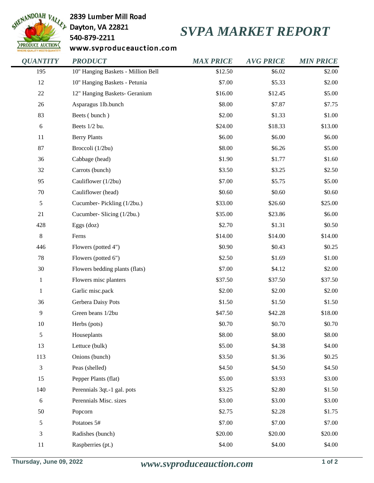

## 2839 Lumber Mill Road

540-879-2211

## *SVPA MARKET REPORT*

www.svproduceauction.com

| <b>QUANTITY</b> | <b>PRODUCT</b>                     | <b>MAX PRICE</b> | <b>AVG PRICE</b> | <b>MIN PRICE</b> |
|-----------------|------------------------------------|------------------|------------------|------------------|
| 195             | 10" Hanging Baskets - Million Bell | \$12.50          | \$6.02           | \$2.00           |
| 12              | 10" Hanging Baskets - Petunia      | \$7.00           | \$5.33           | \$2.00           |
| 22              | 12" Hanging Baskets- Geranium      | \$16.00          | \$12.45          | \$5.00           |
| 26              | Asparagus 1lb.bunch                | \$8.00           | \$7.87           | \$7.75           |
| 83              | Beets (bunch)                      | \$2.00           | \$1.33           | \$1.00           |
| 6               | Beets 1/2 bu.                      | \$24.00          | \$18.33          | \$13.00          |
| 11              | <b>Berry Plants</b>                | \$6.00           | \$6.00           | \$6.00           |
| 87              | Broccoli (1/2bu)                   | \$8.00           | \$6.26           | \$5.00           |
| 36              | Cabbage (head)                     | \$1.90           | \$1.77           | \$1.60           |
| 32              | Carrots (bunch)                    | \$3.50           | \$3.25           | \$2.50           |
| 95              | Cauliflower (1/2bu)                | \$7.00           | \$5.75           | \$5.00           |
| 70              | Cauliflower (head)                 | \$0.60           | \$0.60           | \$0.60           |
| $\sqrt{5}$      | Cucumber-Pickling (1/2bu.)         | \$33.00          | \$26.60          | \$25.00          |
| 21              | Cucumber- Slicing (1/2bu.)         | \$35.00          | \$23.86          | \$6.00           |
| 428             | Eggs (doz)                         | \$2.70           | \$1.31           | \$0.50           |
| $\,8\,$         | Ferns                              | \$14.00          | \$14.00          | \$14.00          |
| 446             | Flowers (potted 4")                | \$0.90           | \$0.43           | \$0.25           |
| 78              | Flowers (potted 6")                | \$2.50           | \$1.69           | \$1.00           |
| 30              | Flowers bedding plants (flats)     | \$7.00           | \$4.12           | \$2.00           |
| $\mathbf{1}$    | Flowers misc planters              | \$37.50          | \$37.50          | \$37.50          |
| 1               | Garlic misc.pack                   | \$2.00           | \$2.00           | \$2.00           |
| 36              | Gerbera Daisy Pots                 | \$1.50           | \$1.50           | \$1.50           |
| $\overline{9}$  | Green beans 1/2bu                  | \$47.50          | \$42.28          | \$18.00          |
| 10              | Herbs (pots)                       | \$0.70           | \$0.70           | \$0.70           |
| $\sqrt{5}$      | Houseplants                        | \$8.00           | \$8.00           | \$8.00           |
| 13              | Lettuce (bulk)                     | \$5.00           | \$4.38           | \$4.00           |
| 113             | Onions (bunch)                     | \$3.50           | \$1.36           | \$0.25           |
| $\mathfrak{Z}$  | Peas (shelled)                     | \$4.50           | \$4.50           | \$4.50           |
| 15              | Pepper Plants (flat)               | \$5.00           | \$3.93           | \$3.00           |
| 140             | Perennials 3qt.-1 gal. pots        | \$3.25           | \$2.80           | \$1.50           |
| 6               | Perennials Misc. sizes             | \$3.00           | \$3.00           | \$3.00           |
| 50              | Popcorn                            | \$2.75           | \$2.28           | \$1.75           |
| $\sqrt{5}$      | Potatoes 5#                        | \$7.00           | \$7.00           | \$7.00           |
| 3               | Radishes (bunch)                   | \$20.00          | \$20.00          | \$20.00          |
| 11              | Raspberries (pt.)                  | \$4.00           | \$4.00           | \$4.00           |
|                 |                                    |                  |                  |                  |

**Thursday, June 09, 2022** *www.svproduceauction.com* **1 of 2**